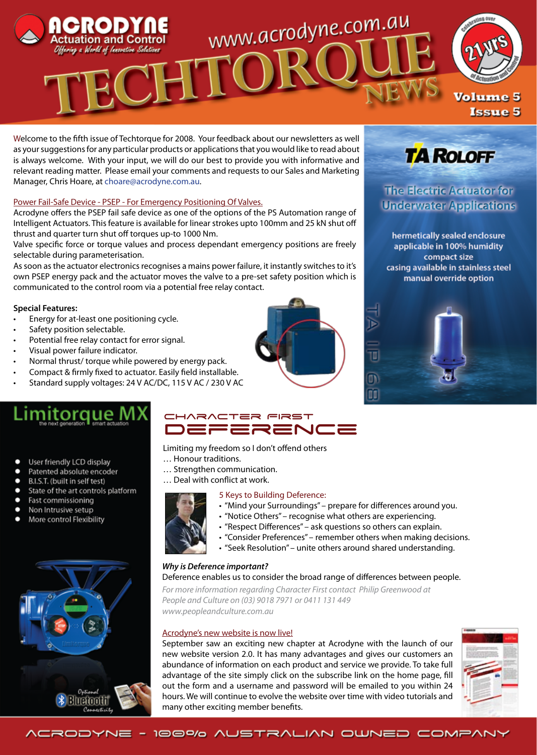

Welcome to the fifth issue of Techtorque for 2008. Your feedback about our newsletters as well as your suggestions for any particular products or applications that you would like to read about is always welcome. With your input, we will do our best to provide you with informative and relevant reading matter. Please email your comments and requests to our Sales and Marketing

Manager, Chris Hoare, at choare@acrodyne.com.au.

## Power Fail-Safe Device - PSEP - For Emergency Positioning Of Valves.

Acrodyne offers the PSEP fail safe device as one of the options of the PS Automation range of Intelligent Actuators. This feature is available for linear strokes upto 100mm and 25 kN shut off thrust and quarter turn shut off torques up-to 1000 Nm.

Valve specific force or torque values and process dependant emergency positions are freely selectable during parameterisation.

As soon as the actuator electronics recognises a mains power failure, it instantly switches to it's own PSEP energy pack and the actuator moves the valve to a pre-set safety position which is communicated to the control room via a potential free relay contact.

## **Special Features:**

- Energy for at-least one positioning cycle.
- Safety position selectable.
- Potential free relay contact for error signal.
- Visual power failure indicator.
- Normal thrust/ torque while powered by energy pack.
- Compact & firmly fixed to actuator. Easily field installable.
- Standard supply voltages: 24 V AC/DC, 115 V AC / 230 V AC

# toraue

- User friendly LCD display
- Patented absolute encoder
- B.I.S.T. (built in self test)
- State of the art controls platform
- Fast commissioning
- Non Intrusive setup
- More control Flexibility



# CHARACTER FIRST DEFERENCE

Limiting my freedom so I don't offend others

- … Honour traditions.
- … Strengthen communication.
- … Deal with conflict at work.

#### 5 Keys to Building Deference:

- "Mind your Surroundings" prepare for differences around you.
- "Notice Others" recognise what others are experiencing.
- "Respect Differences" ask questions so others can explain.
- "Consider Preferences" remember others when making decisions.
- "Seek Resolution" unite others around shared understanding.

#### *Why is Deference important?*

# Deference enables us to consider the broad range of differences between people.

*For more information regarding Character First contact Philip Greenwood at People and Culture on (03) 9018 7971 or 0411 131 449 www.peopleandculture.com.au*

#### Acrodyne's new website is now live!

September saw an exciting new chapter at Acrodyne with the launch of our new website version 2.0. It has many advantages and gives our customers an abundance of information on each product and service we provide. To take full advantage of the site simply click on the subscribe link on the home page, fill out the form and a username and password will be emailed to you within 24 hours. We will continue to evolve the website over time with video tutorials and many other exciting member benefits.





# **The Electric Actuator for Underwater Applications**

hermetically sealed enclosure applicable in 100% humidity compact size casing available in stainless steel manual override option